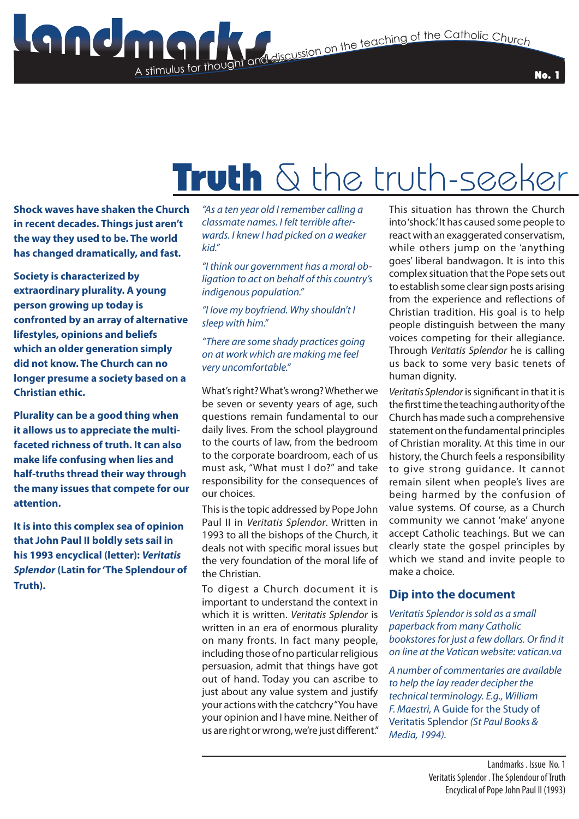# Truth  $\delta$  the truth-seeker

**Shock waves have shaken the Church in recent decades. Things just aren't the way they used to be. The world has changed dramatically, and fast.** 

A stimulus for thought

**Society is characterized by extraordinary plurality. A young person growing up today is confronted by an array of alternative lifestyles, opinions and beliefs which an older generation simply did not know. The Church can no longer presume a society based on a Christian ethic.**

**Plurality can be a good thing when it allows us to appreciate the multifaceted richness of truth. It can also make life confusing when lies and half-truths thread their way through the many issues that compete for our attention.**

**It is into this complex sea of opinion that John Paul II boldly sets sail in his 1993 encyclical (letter):** *Veritatis Splendor* **(Latin for 'The Splendour of Truth).**

*"As a ten year old I remember calling a classmate names. I felt terrible afterwards. I knew I had picked on a weaker kid."*

*"I think our government has a moral obligation to act on behalf of this country's indigenous population."*

*"I love my boyfriend. Why shouldn't I sleep with him."*

#### *"There are some shady practices going on at work which are making me feel very uncomfortable."*

What's right? What's wrong? Whether we be seven or seventy years of age, such questions remain fundamental to our daily lives. From the school playground to the courts of law, from the bedroom to the corporate boardroom, each of us must ask, "What must I do?" and take responsibility for the consequences of our choices.

This is the topic addressed by Pope John Paul II in *Veritatis Splendor*. Written in 1993 to all the bishops of the Church, it deals not with specific moral issues but the very foundation of the moral life of the Christian.

To digest a Church document it is important to understand the context in which it is written. *Veritatis Splendor* is written in an era of enormous plurality on many fronts. In fact many people, including those of no particular religious persuasion, admit that things have got out of hand. Today you can ascribe to just about any value system and justify your actions with the catchcry "You have your opinion and I have mine. Neither of us are right or wrong, we're just different." This situation has thrown the Church into 'shock.' It has caused some people to react with an exaggerated conservatism, while others jump on the 'anything goes' liberal bandwagon. It is into this complex situation that the Pope sets out to establish some clear sign posts arising from the experience and reflections of Christian tradition. His goal is to help people distinguish between the many voices competing for their allegiance. Through *Veritatis Splendor* he is calling us back to some very basic tenets of human dignity.

No. 1

*Veritatis Splendor* is significant in that it is the first time the teaching authority of the Church has made such a comprehensive statement on the fundamental principles of Christian morality. At this time in our history, the Church feels a responsibility to give strong guidance. It cannot remain silent when people's lives are being harmed by the confusion of value systems. Of course, as a Church community we cannot 'make' anyone accept Catholic teachings. But we can clearly state the gospel principles by which we stand and invite people to make a choice.

# **Dip into the document**

*Veritatis Splendor is sold as a small paperback from many Catholic bookstores for just a few dollars. Or find it on line at the Vatican website: vatican.va*

*A number of commentaries are available to help the lay reader decipher the technical terminology. E.g., William F. Maestri,* A Guide for the Study of Veritatis Splendor *(St Paul Books & Media, 1994).*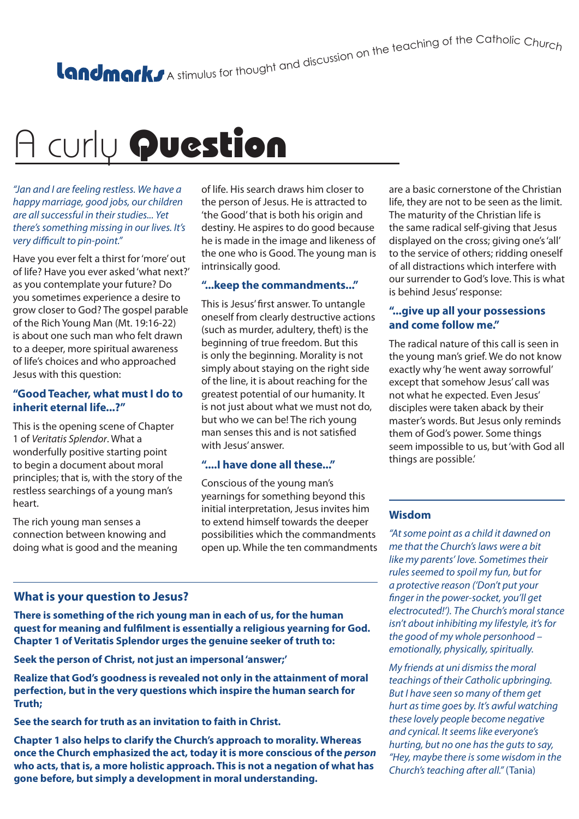A stimulus for thought and discussion on the teaching of the Catholic Churc<sub>h</sub>

# A curly Question

*"Jan and I are feeling restless. We have a happy marriage, good jobs, our children are all successful in their studies... Yet there's something missing in our lives. It's very difficult to pin-point."*

Have you ever felt a thirst for 'more' out of life? Have you ever asked 'what next?' as you contemplate your future? Do you sometimes experience a desire to grow closer to God? The gospel parable of the Rich Young Man (Mt. 19:16-22) is about one such man who felt drawn to a deeper, more spiritual awareness of life's choices and who approached Jesus with this question:

#### **"Good Teacher, what must I do to inherit eternal life...?"**

This is the opening scene of Chapter 1 of *Veritatis Splendor*. What a wonderfully positive starting point to begin a document about moral principles; that is, with the story of the restless searchings of a young man's heart.

The rich young man senses a connection between knowing and doing what is good and the meaning of life. His search draws him closer to the person of Jesus. He is attracted to 'the Good' that is both his origin and destiny. He aspires to do good because he is made in the image and likeness of the one who is Good. The young man is intrinsically good.

#### **"...keep the commandments..."**

This is Jesus' first answer. To untangle oneself from clearly destructive actions (such as murder, adultery, theft) is the beginning of true freedom. But this is only the beginning. Morality is not simply about staying on the right side of the line, it is about reaching for the greatest potential of our humanity. It is not just about what we must not do, but who we can be! The rich young man senses this and is not satisfied with Jesus' answer.

# **"....I have done all these..."**

Conscious of the young man's yearnings for something beyond this initial interpretation, Jesus invites him to extend himself towards the deeper possibilities which the commandments open up. While the ten commandments

are a basic cornerstone of the Christian life, they are not to be seen as the limit. The maturity of the Christian life is the same radical self-giving that Jesus displayed on the cross; giving one's 'all' to the service of others; ridding oneself of all distractions which interfere with our surrender to God's love. This is what is behind Jesus' response:

# **"...give up all your possessions and come follow me."**

The radical nature of this call is seen in the young man's grief. We do not know exactly why 'he went away sorrowful' except that somehow Jesus' call was not what he expected. Even Jesus' disciples were taken aback by their master's words. But Jesus only reminds them of God's power. Some things seem impossible to us, but 'with God all things are possible.'

# **Wisdom**

*"At some point as a child it dawned on me that the Church's laws were a bit like my parents' love. Sometimes their rules seemed to spoil my fun, but for a protective reason ('Don't put your finger in the power-socket, you'll get electrocuted!'). The Church's moral stance isn't about inhibiting my lifestyle, it's for the good of my whole personhood – emotionally, physically, spiritually.*

*My friends at uni dismiss the moral teachings of their Catholic upbringing. But I have seen so many of them get hurt as time goes by. It's awful watching these lovely people become negative and cynical. It seems like everyone's hurting, but no one has the guts to say, "Hey, maybe there is some wisdom in the Church's teaching after all."* (Tania)

# **What is your question to Jesus?**

**There is something of the rich young man in each of us, for the human quest for meaning and fulfilment is essentially a religious yearning for God. Chapter 1 of Veritatis Splendor urges the genuine seeker of truth to:**

**Seek the person of Christ, not just an impersonal 'answer;'**

**Realize that God's goodness is revealed not only in the attainment of moral perfection, but in the very questions which inspire the human search for Truth;**

**See the search for truth as an invitation to faith in Christ.**

**Chapter 1 also helps to clarify the Church's approach to morality. Whereas once the Church emphasized the act, today it is more conscious of the** *person* **who acts, that is, a more holistic approach. This is not a negation of what has gone before, but simply a development in moral understanding.**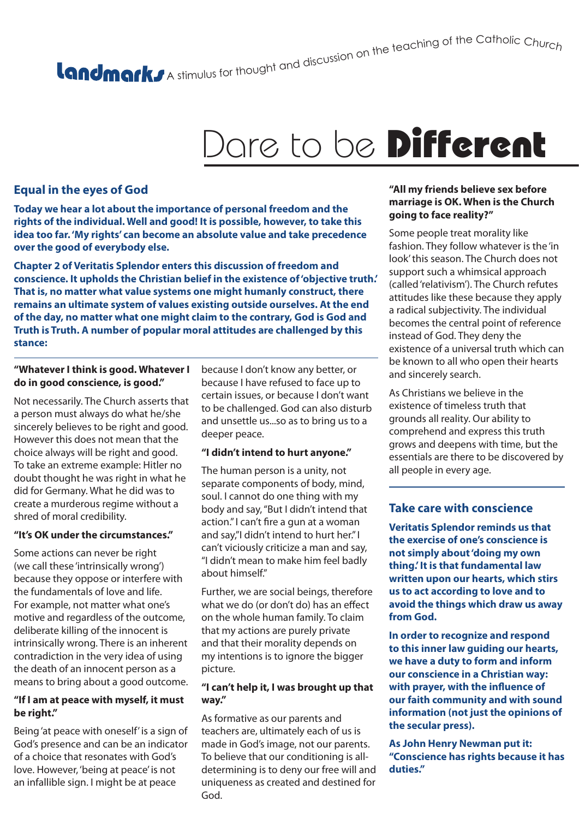# A stimulus for thought and discussion on the teaching of the Catholic Churc<sub>h</sub>

# Dare to be **Different**

# **Equal in the eyes of God**

**Today we hear a lot about the importance of personal freedom and the rights of the individual. Well and good! It is possible, however, to take this idea too far. 'My rights' can become an absolute value and take precedence over the good of everybody else.**

**Chapter 2 of Veritatis Splendor enters this discussion of freedom and conscience. It upholds the Christian belief in the existence of 'objective truth.' That is, no matter what value systems one might humanly construct, there remains an ultimate system of values existing outside ourselves. At the end of the day, no matter what one might claim to the contrary, God is God and Truth is Truth. A number of popular moral attitudes are challenged by this stance:**

#### **"Whatever I think is good. Whatever I do in good conscience, is good."**

Not necessarily. The Church asserts that a person must always do what he/she sincerely believes to be right and good. However this does not mean that the choice always will be right and good. To take an extreme example: Hitler no doubt thought he was right in what he did for Germany. What he did was to create a murderous regime without a shred of moral credibility.

#### **"It's OK under the circumstances."**

Some actions can never be right (we call these 'intrinsically wrong') because they oppose or interfere with the fundamentals of love and life. For example, not matter what one's motive and regardless of the outcome, deliberate killing of the innocent is intrinsically wrong. There is an inherent contradiction in the very idea of using the death of an innocent person as a means to bring about a good outcome.

#### **"If I am at peace with myself, it must be right."**

Being 'at peace with oneself' is a sign of God's presence and can be an indicator of a choice that resonates with God's love. However, 'being at peace' is not an infallible sign. I might be at peace

because I don't know any better, or because I have refused to face up to certain issues, or because I don't want to be challenged. God can also disturb and unsettle us...so as to bring us to a deeper peace.

#### **"I didn't intend to hurt anyone."**

The human person is a unity, not separate components of body, mind, soul. I cannot do one thing with my body and say, "But I didn't intend that action." I can't fire a gun at a woman and say,"I didn't intend to hurt her." I can't viciously criticize a man and say, "I didn't mean to make him feel badly about himself."

Further, we are social beings, therefore what we do (or don't do) has an effect on the whole human family. To claim that my actions are purely private and that their morality depends on my intentions is to ignore the bigger picture.

#### **"I can't help it, I was brought up that way."**

As formative as our parents and teachers are, ultimately each of us is made in God's image, not our parents. To believe that our conditioning is alldetermining is to deny our free will and uniqueness as created and destined for God.

#### **"All my friends believe sex before marriage is OK. When is the Church going to face reality?"**

Some people treat morality like fashion. They follow whatever is the 'in look' this season. The Church does not support such a whimsical approach (called 'relativism'). The Church refutes attitudes like these because they apply a radical subjectivity. The individual becomes the central point of reference instead of God. They deny the existence of a universal truth which can be known to all who open their hearts and sincerely search.

As Christians we believe in the existence of timeless truth that grounds all reality. Our ability to comprehend and express this truth grows and deepens with time, but the essentials are there to be discovered by all people in every age.

# **Take care with conscience**

**Veritatis Splendor reminds us that the exercise of one's conscience is not simply about 'doing my own thing.' It is that fundamental law written upon our hearts, which stirs us to act according to love and to avoid the things which draw us away from God.**

**In order to recognize and respond to this inner law guiding our hearts, we have a duty to form and inform our conscience in a Christian way: with prayer, with the influence of our faith community and with sound information (not just the opinions of the secular press).**

**As John Henry Newman put it: "Conscience has rights because it has duties."**